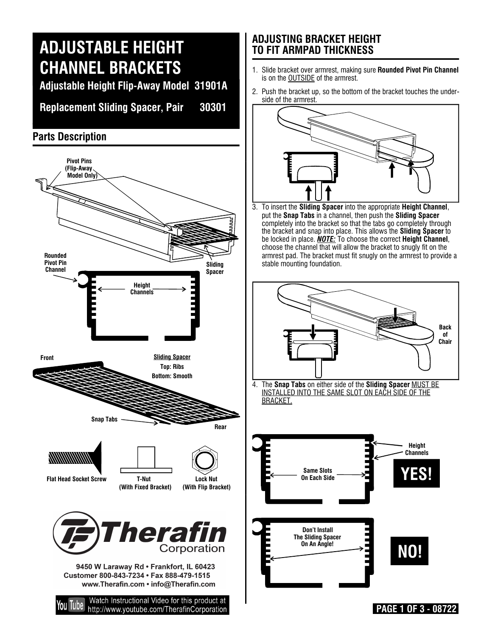# **ADJUSTABLE HEIGHT CHANNEL BRACKETS**

**Adjustable Height Flip-Away Model 31901A**

**Replacement Sliding Spacer, Pair 30301**

### **Parts Description**



#### **ADJUSTING BRACKET HEIGHT TO FIT ARMPAD THICKNESS**

- 1. Slide bracket over armrest, making sure **Rounded Pivot Pin Channel** is on the OUTSIDE of the armrest.
- 2. Push the bracket up, so the bottom of the bracket touches the underside of the armrest.



3. To insert the **Sliding Spacer** into the appropriate **Height Channel**, put the **Snap Tabs** in a channel, then push the **Sliding Spacer** completely into the bracket so that the tabs go completely through the bracket and snap into place. This allows the **Sliding Spacer** to be locked in place. *NOTE:* To choose the correct **Height Channel**, choose the channel that will allow the bracket to snugly fit on the armrest pad. The bracket must fit snugly on the armrest to provide a stable mounting foundation.



4. The **Snap Tabs** on either side of the **Sliding Spacer** MUST BE INSTALLED INTO THE SAME SLOT ON EACH SIDE OF THE BRACKET.



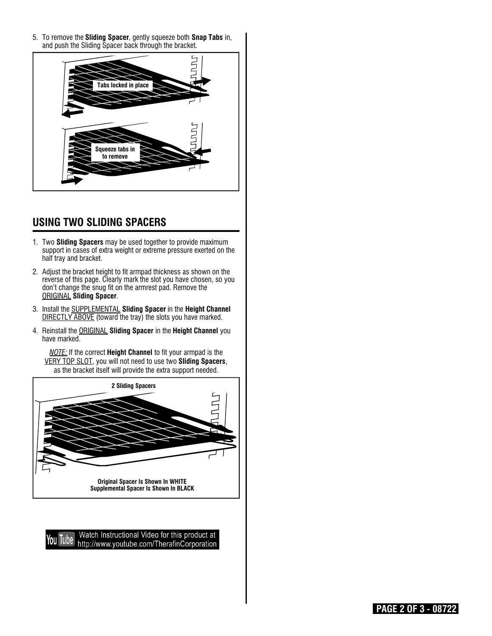5. To remove the **Sliding Spacer**, gently squeeze both **Snap Tabs** in, and push the Sliding Spacer back through the bracket.



#### **USING TWO SLIDING SPACERS**

- 1. Two **Sliding Spacers** may be used together to provide maximum support in cases of extra weight or extreme pressure exerted on the half tray and bracket.
- 2. Adjust the bracket height to fit armpad thickness as shown on the reverse of this page. Clearly mark the slot you have chosen, so you don't change the snug fit on the armrest pad. Remove the ORIGINAL **Sliding Spacer**.
- 3. Install the SUPPLEMENTAL **Sliding Spacer** in the **Height Channel** DIRECTLY ABOVE (toward the tray) the slots you have marked.
- 4. Reinstall the ORIGINAL **Sliding Spacer** in the **Height Channel** you have marked.

*NOTE:* If the correct **Height Channel** to fit your armpad is the VERY TOP SLOT, you will not need to use two **Sliding Spacers**, as the bracket itself will provide the extra support needed.